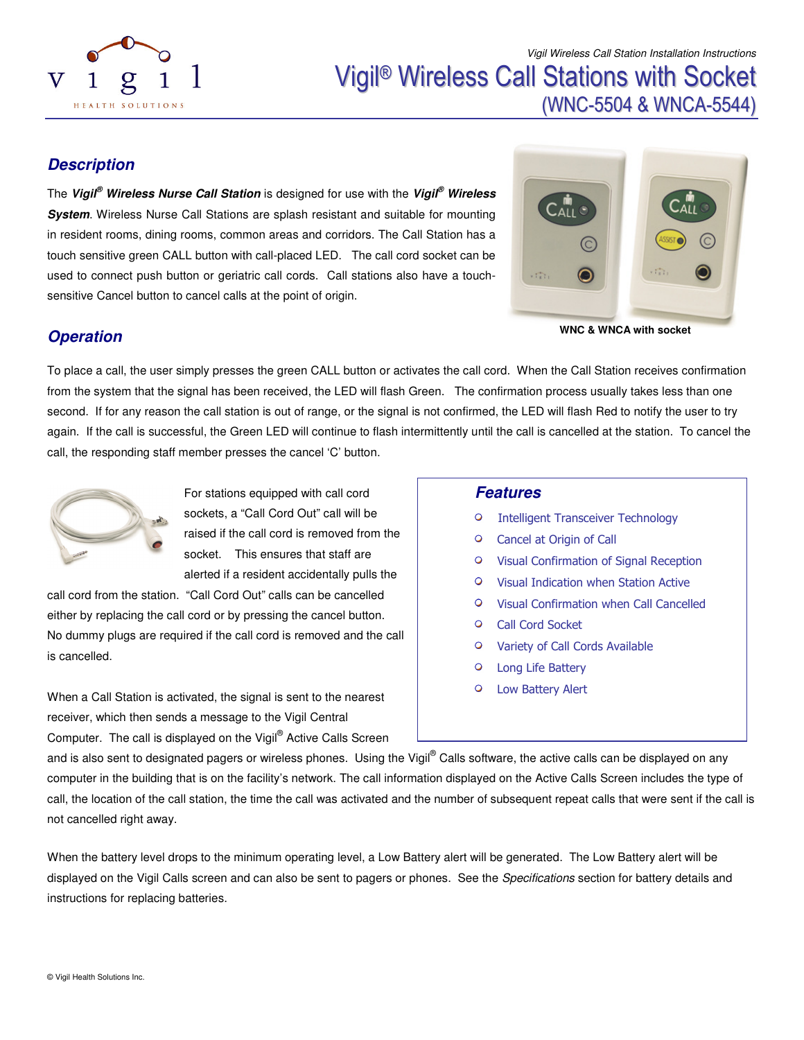

Vigil ® Wireless Call Stations with Socket (WNC-5504 & WNCA-5544)

#### **Description**

The **Vigil® Wireless Nurse Call Station** is designed for use with the **Vigil® Wireless System**. Wireless Nurse Call Stations are splash resistant and suitable for mounting in resident rooms, dining rooms, common areas and corridors. The Call Station has a touch sensitive green CALL button with call-placed LED. The call cord socket can be used to connect push button or geriatric call cords. Call stations also have a touchsensitive Cancel button to cancel calls at the point of origin.



**WNC & WNCA with socket** 

#### **Operation**

To place a call, the user simply presses the green CALL button or activates the call cord. When the Call Station receives confirmation from the system that the signal has been received, the LED will flash Green. The confirmation process usually takes less than one second. If for any reason the call station is out of range, or the signal is not confirmed, the LED will flash Red to notify the user to try again. If the call is successful, the Green LED will continue to flash intermittently until the call is cancelled at the station. To cancel the call, the responding staff member presses the cancel 'C' button.



For stations equipped with call cord sockets, a "Call Cord Out" call will be raised if the call cord is removed from the socket. This ensures that staff are alerted if a resident accidentally pulls the

call cord from the station. "Call Cord Out" calls can be cancelled either by replacing the call cord or by pressing the cancel button. No dummy plugs are required if the call cord is removed and the call is cancelled.

When a Call Station is activated, the signal is sent to the nearest receiver, which then sends a message to the Vigil Central Computer. The call is displayed on the Vigil® Active Calls Screen

#### **Features**

- $\circ$ Intelligent Transceiver Technology
- $\circ$ Cancel at Origin of Call
- $\circ$ Visual Confirmation of Signal Reception
- Visual Indication when Station Active  $\circ$
- Visual Confirmation when Call Cancelled
- Call Cord Socket
- $\circ$ Variety of Call Cords Available
- $\circ$ Long Life Battery
- $\circ$ Low Battery Alert

and is also sent to designated pagers or wireless phones. Using the Vigil® Calls software, the active calls can be displayed on any computer in the building that is on the facility's network. The call information displayed on the Active Calls Screen includes the type of call, the location of the call station, the time the call was activated and the number of subsequent repeat calls that were sent if the call is not cancelled right away.

When the battery level drops to the minimum operating level, a Low Battery alert will be generated. The Low Battery alert will be displayed on the Vigil Calls screen and can also be sent to pagers or phones. See the Specifications section for battery details and instructions for replacing batteries.